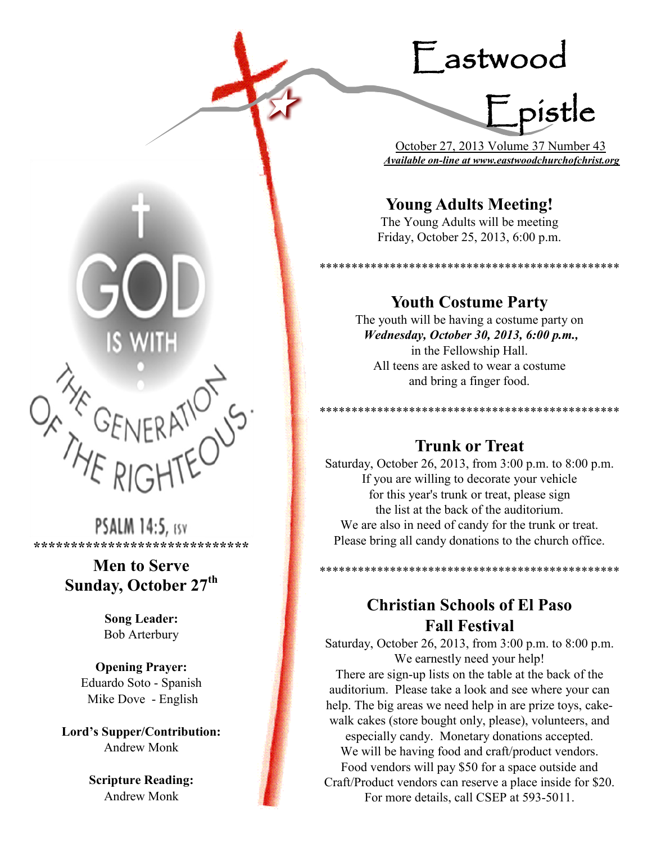# Eastwood

pistle

 October 27, 2013 Volume 37 Number 43 *Available on-line at www.eastwoodchurchofchrist.org*

\*\*\*\*\*\*\*\*\*\*\*\*\*\*\*\*\*\*\*\*\*\*\*\*\*\*\*\*\*\*\*\*\*\*\*\*\*\*\*\*\*\*\*\*\*\*\*

\*\*\*\*\*\*\*\*\*\*\*\*\*\*\*\*\*\*\*\*\*\*\*\*\*\*\*\*\*\*\*\*

## **Young Adults Meeting!**

The Young Adults will be meeting Friday, October 25, 2013, 6:00 p.m.

**Youth Costume Party**

The youth will be having a costume party on *Wednesday, October 30, 2013, 6:00 p.m.,* in the Fellowship Hall. All teens are asked to wear a costume and bring a finger food.

## **Trunk or Treat**

Saturday, October 26, 2013, from 3:00 p.m. to 8:00 p.m. If you are willing to decorate your vehicle for this year's trunk or treat, please sign the list at the back of the auditorium. We are also in need of candy for the trunk or treat. Please bring all candy donations to the church office.

> **Christian Schools of El Paso Fall Festival**

\*\*\*\*\*\*\*\*\*\*\*\*\*\*\*\*\*\*\*\*\*\*\*\*\*\*\*\*\*\*\*\*\*\*\*\*\*\*\*\*\*\*\*\*\*\*\*

Saturday, October 26, 2013, from 3:00 p.m. to 8:00 p.m. We earnestly need your help!

There are sign-up lists on the table at the back of the auditorium. Please take a look and see where your can help. The big areas we need help in are prize toys, cakewalk cakes (store bought only, please), volunteers, and especially candy. Monetary donations accepted. We will be having food and craft/product vendors. Food vendors will pay \$50 for a space outside and Craft/Product vendors can reserve a place inside for \$20. For more details, call CSEP at 593-5011.



**PSALM 14:5, ESV \*\*\*\*\*\*\*\*\*\*\*\*\*\*\*\*\*\*\*\*\*\*\*\*\*\*\*\*\***

## **Men to Serve Sunday, October 27th**

**Song Leader:**  Bob Arterbury

**Opening Prayer:** Eduardo Soto - Spanish Mike Dove - English

**Lord's Supper/Contribution:**  Andrew Monk

> **Scripture Reading:**  Andrew Monk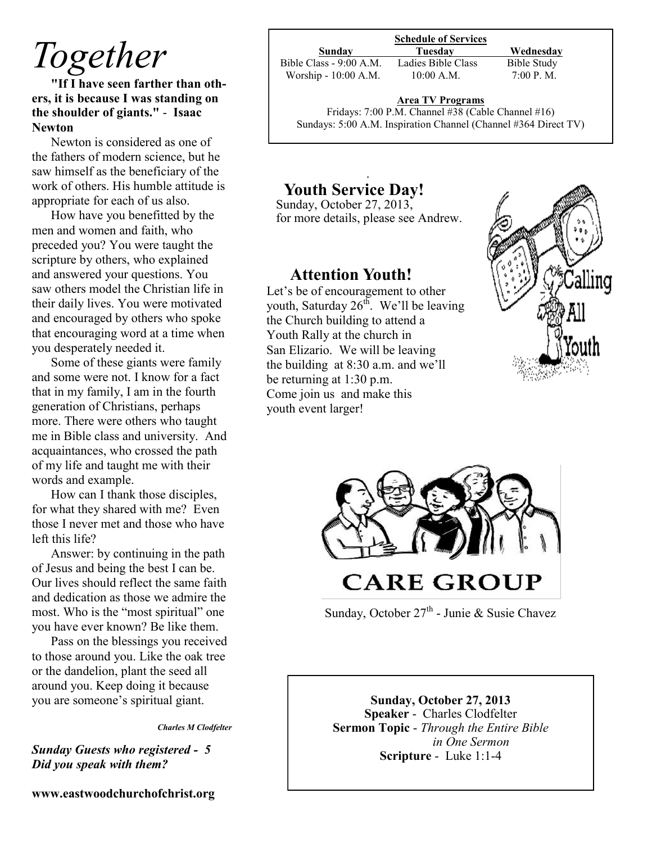## *Together*

**"If I have seen farther than others, it is because I was standing on the shoulder of giants."** - **Isaac Newton** 

Newton is considered as one of the fathers of modern science, but he saw himself as the beneficiary of the work of others. His humble attitude is appropriate for each of us also.

How have you benefitted by the men and women and faith, who preceded you? You were taught the scripture by others, who explained and answered your questions. You saw others model the Christian life in their daily lives. You were motivated and encouraged by others who spoke that encouraging word at a time when you desperately needed it.

Some of these giants were family and some were not. I know for a fact that in my family, I am in the fourth generation of Christians, perhaps more. There were others who taught me in Bible class and university. And acquaintances, who crossed the path of my life and taught me with their words and example.

How can I thank those disciples, for what they shared with me? Even those I never met and those who have left this life?

Answer: by continuing in the path of Jesus and being the best I can be. Our lives should reflect the same faith and dedication as those we admire the most. Who is the "most spiritual" one you have ever known? Be like them.

Pass on the blessings you received to those around you. Like the oak tree or the dandelion, plant the seed all around you. Keep doing it because you are someone's spiritual giant.

*Charles M Clodfelter*

*Sunday Guests who registered - 5 Did you speak with them?*

**www.eastwoodchurchofchrist.org**

**Schedule of Services**

Bible Class - 9:00 A.M. Ladies Bible Class Bible Study Worship - 10:00 A.M. 10:00 A.M. 7:00 P.M.

**Sunday Tuesday Wednesday** 

**Area TV Programs**

Area TV Programs<br>Fridays: 7:00 P.M. Channel #38 (Cable Channel #16) Sundays: 5:00 A.M. Inspiration Channel (Channel #364 Direct TV)

### .  **Youth Service Day!**

Sunday, October 27, 2013, for more details, please see Andrew.

## **Attention Youth!**

 Let's be of encouragement to other youth, Saturday  $26^{th}$ . We'll be leaving the Church building to attend a Youth Rally at the church in San Elizario. We will be leaving the building at 8:30 a.m. and we'll be returning at 1:30 p.m. Come join us and make this youth event larger!





Sunday, October 27<sup>th</sup> - Junie & Susie Chavez

#### **Sunday, October 27, 2013 Speaker** - Charles Clodfelter **Sermon Topic** - *Through the Entire Bible in One Sermon*  **Scripture** - Luke 1:1-4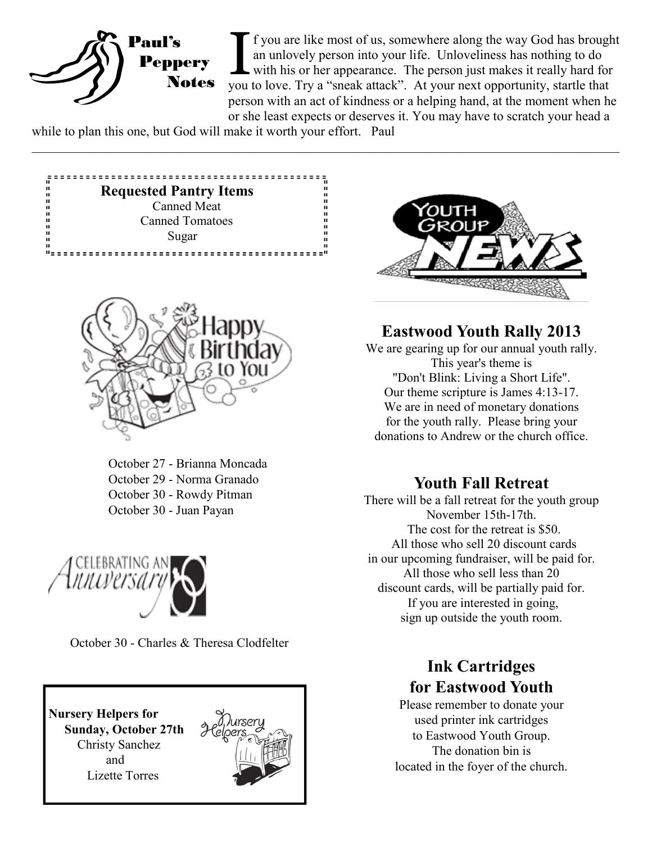

If you are like most of us, somewhere along the way God has brough an unlovely person into your life. Unloveliness has nothing to do with his or her appearance. The person just makes it really hard for you to love. Try a " f you are like most of us, somewhere along the way God has brought an unlovely person into your life. Unloveliness has nothing to do  $\mathsf{\mathsf{L}}$  with his or her appearance. The person just makes it really hard for person with an act of kindness or a helping hand, at the moment when he or she least expects or deserves it. You may have to scratch your head a

 $\_$  , and the contribution of the contribution of the contribution of the contribution of the contribution of  $\mathcal{L}_\text{max}$ 

while to plan this one, but God will make it worth your effort. Paul





October 27 - Brianna Moncada October 29 - Norma Granado October 30 - Rowdy Pitman October 30 - Juan Payan



October 30 - Charles & Theresa Clodfelter

**Nursery Helpers for Sunday, October 27th** Christy Sanchez and Lizette Torres





## **Eastwood Youth Rally 2013**

We are gearing up for our annual youth rally. This year's theme is "Don't Blink: Living a Short Life". Our theme scripture is James 4:13-17. We are in need of monetary donations for the youth rally. Please bring your donations to Andrew or the church office.

## **Youth Fall Retreat**

There will be a fall retreat for the youth group November 15th-17th. The cost for the retreat is \$50. All those who sell 20 discount cards in our upcoming fundraiser, will be paid for. All those who sell less than 20 discount cards, will be partially paid for. If you are interested in going, sign up outside the youth room.

## **Ink Cartridges for Eastwood Youth**

Please remember to donate your used printer ink cartridges to Eastwood Youth Group. The donation bin is located in the foyer of the church.